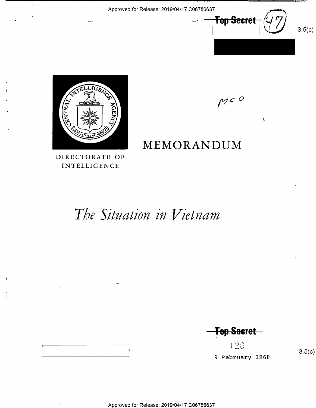

 $\vec{\mathbf{A}}$ 

 $M^{cO}$ 



MEMORANDUM

DIRECTORATE OF INTELLIGENCE

# The Situation in Vietnam

**Top Secret** 

126 9 February 1968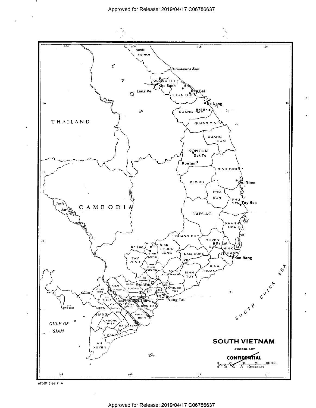

69569 2-68 CIA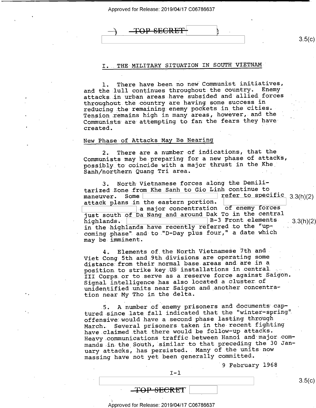<del>TOP SECRE</del>

 $\frac{1}{2}$  , s.5( $\frac{1}{2}$  , s.5( $\frac{1}{2}$  , s.5( $\frac{1}{2}$  , s.5( $\frac{1}{2}$  , s.5( $\frac{1}{2}$  , s.5( $\frac{1}{2}$  , s.5( $\frac{1}{2}$  , s.5( $\frac{1}{2}$  , s.5( $\frac{1}{2}$  , s.5( $\frac{1}{2}$  , s.5( $\frac{1}{2}$  , s.5( $\frac{1}{2}$  , s.5( $\frac{1}{2}$  , s

# THE MILITARY SITUATION IN SOUTH VIETNAM

l. There have.been no new Communist initiatives, and the lull continues throughout the country. Enemy attacks in urban areas have subsided and allied forces throughout the country are having some success in reducing the remaining enemy pockets in the cities. Tension remains high in many areas, however, and the Communists are attempting to fan the fears they have<br>created.

# New Phase of Attacks May Be Nearing

2. There are a number of indications, that the Communists may be preparing for a new phase of attacks, possibly to coincide with a major thrust in the Khe\_ Sanh/northern Quang Tri area. ' - \_:\_

.3. North Vietnamese forces along the Demili tarized Zone from Khe Sanh to Gio Linh continue to<br>maneuver. Some maneuver. Some  $\qquad \qquad$  refer to specific 3.3(h)(2) attack plans in the eastern portion. a major concentration of enemy forces - a major concentration of enemy forces just south of Da Nang and around Dak To in the central highlands.  $\begin{bmatrix} \text{B-3.} \end{bmatrix}$  Front elements.  $\begin{bmatrix} 3,3(h)(2) \end{bmatrix}$ in the highlands have recently referred to the "upcoming phase" and to "D-Day plus four," a date which may be imminent.

4. Elements of the North Vietnamese 7th and Viet Cong 5th and 9th divisions are operating some distance from their normal base areas and are in a position to strike key US installations in central. III Corps or to serve as a.reserve force against Saigon. Signal intelligence has also located a cluster.of unidentified units near Saigon and another concentration near My Tho in the delta.

.5. A number.of enemy prisoners and documents captured since late fall indicated that the "winter-spring" offensive would have a second phase lasting through March. Several prisoners taken in the-recent fighting have claimed that there would be follow-up attacks. Heavy communications traffic between Hanoi and major commands in the South, similar to that preceding the 30 January attacks, has persisted.. Many of the units now massing have not yet been generally committed.

'9 February 1968

 $3.5(c)$ 

 $\begin{array}{|c|c|c|c|c|}\hline \multicolumn{1}{c|}{\textbf{I}-\textbf{1}} & \multicolumn{1}{c|}{\textbf{I}-\textbf{1}}\hline \multicolumn{1}{c|}{\textbf{I}-\textbf{1}} & \multicolumn{1}{c|}{\textbf{I}-\textbf{1}} & \multicolumn{1}{c|}{\textbf{I}-\textbf{1}} & \multicolumn{1}{c|}{\textbf{I}-\textbf{1}} & \multicolumn{1}{c|}{\textbf{I}-\textbf{1}} & \multicolumn{1}{c|}{\textbf{I}-\textbf{1}} & \multicolumn{1}{c|}{\textbf{I$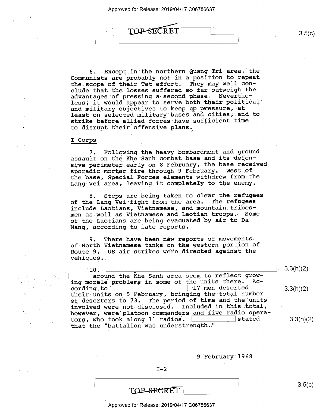

6. Except\_in the northern Quang-Tri area, the Communists are probably not in a position to repeat<br>the scope of their Tet effort. They may well conthe scope of their Tet effort. clude that the losses suffered so far outweigh the advantages of.pressing a-second phase. Nevertheless, it would appear to serve both their political and military objectives to keep up pressure, at least on selected military bases and cities, and to strike-before allied forces have sufficient time to disrupt their offensive plans.

# I Corps .

'/H

7. Following the heavy bombardment and ground assault on the Khe Sanh combat base and its defensive perimeter early on 8 February, the base received sporadic mortar fire through 9 February. West of the base, Special Forces elements withdrew from-the Lang Vei area, leaving it completely to the enemy.

8. Steps are being taken to clear the refugees of the Lang Vei fight from the area. The refugees include Laotians, Vietnamese, and mountain tribesmen as well as Vietnamese and Laotian troops. Some of the Laotians are being evacuated by air to Da\_ Nang, according to late reports.

9. There have been new reports of movements. of North Vietnamese tanks on the western portion of Route 9. US air strikes were directed against the vehicles.

F10. \ \_ <sup>V</sup><sup>V</sup> around the Khe Sanh area seem to reflect growing morale problems in some of the units there. Ac-<br>cording to  $\boxed{\phantom{\begin{bmatrix} 1 \end{bmatrix}}$  17 men deserted cording to  $\frac{1}{2}$  . Then deserted 3.3(h)(2) their units on 5 February, bringing the total number. of deserters to 73. The period of time and the units involved were not-disclosed. Included-in.this.total,' however, were platoon commanders and five radio opera-<br>tors, who took along 11 radios. tors, who took along 11 radios. that the "battalion was understrength."

9 February 1968

 $3.5(c)$ 

 $3.3(h)(2)$ 

 $3.3(h)(2)$ 

TOP-SECRET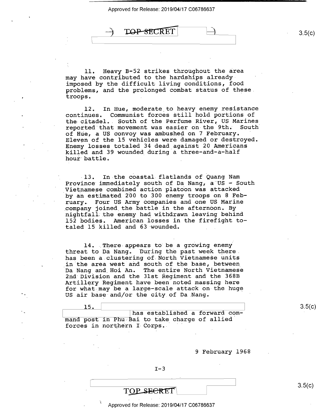**TOP-SECRET** 

ll. Heavy B-52 strikes throughout the area may have contributed to the hardships alreadyimposed by the difficult-living conditions, food problems, and the prolonged combat status of these. troops, .

12. In Hue, moderate to heavy enemy resistance continues. Communist forces still hold portions of Communist forces still hold portions of the citadel.. South of the Perfume River, US Marines reported that movement was easier on the 9th. South of Hue, a US convoy was ambushed on 7 February. Eleven of the 15 vehicles were damaged or destroyed. Enemy losses totaled 34 dead\_against 20 Americans killed and 39 wounded during a three—and-a-half hour battle.

-13. In the coastal flatlands of Quang Nam Province immediately south of Da Nang, a"US - South Vietnamese combined action platoon was attacked by an estimated 200 to 300 enemy troops on 8 February. Four US Army companies and one US Marine<br>company joined the battle in the afternoon. By nightfall the enemy had withdrawn leaving behind 152 bodies. American losses in the firefight totaled 15 killed and 63 wounded.

14. There appears to be a growing enemy threat to Da Nang. 'During the past week there. has been a clustering of North Vietnamese units in the area west and south of the base, between Da Nang and Hoi An. The entire North Vietnamese 2nd Division and the 31st Regiment and the 368B Artillery Regiment have been noted massing here for what may be a large-scale attack on the huge US air base and/or the city of Da Nang.

15. \ has established a forward command post in Phu Bai to take charge of allied forces in northern I Corps.

9 February 1968

 $I-3$ 

TOP SECRET

Approved for Release: 2019/04/17 C06786637

 $3.5(c)$ 

 $3.5(c)$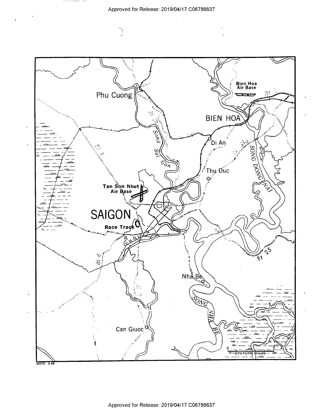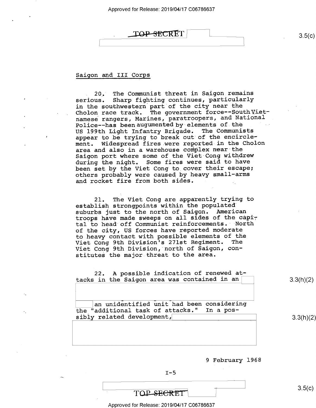# IOP-SECRET 3.5(c)

# Saigon and III Corps

20. The Communist threat in Saigon remains<br>serious. Sharp fighting continues, particularly Sharp fighting continues, particularly in the southwestern part of the city near the Cholon race track. The government force--SouthVietnamese rangers, Marines, paratroopers, and National Police--has been augumented by elements of the US 199th Light Infantry Brigade. The Communists appear to be trying to break out of the encirclement. Widespread fires were reported in the Cholon area and also in a warehouse complex near the Saigon port where some of the Viet-Cong withdrew during the night. Some fires were said to have been set by the Viet Cong to cover their escape; others probably were caused by heavy small—arms and rocket fire from both sides.  $\ddot{\phantom{0}}$ 

2l. The Viet Cong are apparently trying to establish strongpoints within the populated' suburbs just to the north of Saigon. American troops have made sweeps on all sides of the capital to head off Communist reinforcements. North of the city, US forces have reported moderate to heavy contact with possible elements of the Viet Cong 9th Division's 271st Regiment. Viet Cong 9th Division, north of Saigon, constitutes the major threat to the area.

22. A possible indication of renewed attacks in the Saigon area was contained in an  $\vert$  3.3(h)(2)

an unidentified unit had been considering the "additional task of attacks." In a possibly related development, 3.3(h)(2)

<sup>9</sup>February 1968

 $I-5$ 

# $\overline{\text{TOP} \cdot \text{SEERET}}$  3.5(c)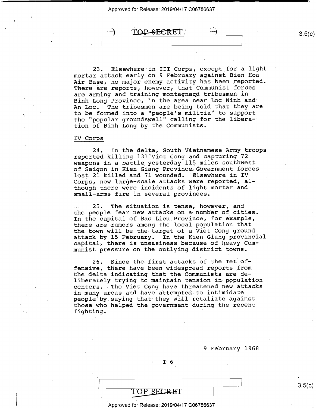TOP SECRET

23. Elsewhere in III Corps, except for a light mortar attack early on 9 February against Bien Hoa Air Base, no major enemy activity has been reported. There are reports, however, that Communist forces are arming and training montagnard tribesmen in Binh Long Province, in the area near Loc Ninh and An Loc. The tribesmen-are being told that they are to be.formed-into a "people's militia" to support the "popular groundswell" calling for the libera-tion of Binh Long by the Communists.

### IV-Corps

. 24. In the delta, South Vietnamese Army troops reported killing 131 Viet Cong and capturing 72 weapons in a battle yesterday 115 miles southwest of Saigon in Kien Giang Province;Government forces lost 21 killed and 71 wounded. "Elsewhere in IV \_ Corps, new large-scale attacks were reported, although there were incidents of light mortar and small-arms fire in.several provinces.

25. The situation is tense, however, and the people fear new attacks on a number of cities. In the capital of Bac Lieu\_Province, for example, there are-rumors among the local population that the town will be the-target of a Viet Cong ground attack by l5 February. In the Kien Giang provincial capital, there is uneasiness because of heavy Communist pressure on the outlying district towns.

26. Since the first attacks of the Tet of-fensive, there have been widespread reports from the delta indicating that the Communists are deliberately trying to maintain tension in-population centers.- The Viet Cong have threatened new attacks in many areas and have attempted to intimidate peopleiby.saying that they will retaliate against those who helped the-government during the recent fighting.

<sup>9</sup>February l968\_

J

 $I-6$ 

## Approved for Release: 2019/04/17 C06786637

TOP SECRET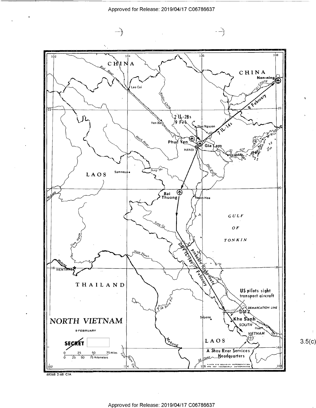$\overline{\phantom{a}}$  -  $\overline{\phantom{a}}$ 

 $3.5(c)$ 



69568 2-68 CIA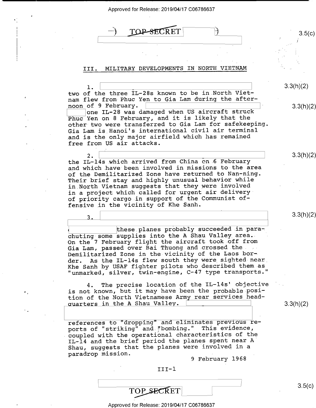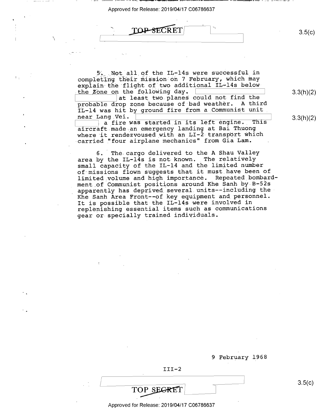$\frac{100}{500}$  secreti  $\frac{1}{200}$  3.5(c)

' /

5. Not all of the IL-14s were successful in completing their mission on 7 February, which may explain the flight of two additional IL-14s belowthe Zone on the following day.

the forrowing day.  $\frac{1}{2}$  at least two planes could not find the probable drop zone because of bad weather. A third IL-14 was hit by ground fire from a Communist unit near Lang Vei. near Lang .Vei. ' ' <sup>3</sup>

a fire was started in its left engine. This aircraft made an emergency landing at Bai Thuong where it rendezvoused with an LI-2 transport which carried "four airplane mechanics" from Gia Lam.

6. The cargo delivered to the A Shau Valley area by the IL-14s is not known. The relatively small capacity of the IL-14 and the limited number of missions flown suggests that it must have been of limited volume and high importance. Repeated\_bombard ment of Communist positions around Khe Sanh by B-52s apparently has deprived several.units—-including the-Khe Sanh Area Front—-of key equipment and personnel. It is possible that the IL-14s were involved in replenishing essential items such as communications gear or specially trained individuals.

9 February l968

 $III-2$ 

Approved for Release: 2019/04/17 C06786637

 $\frac{1}{2}$  3.5(c)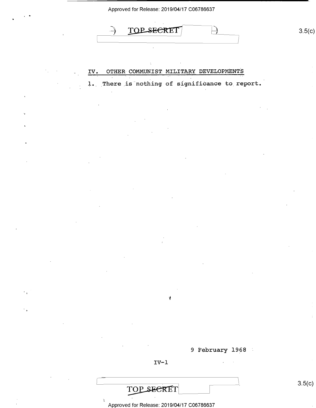$TOP$  secret  $\qquad \qquad$  3.5(c)

IV. OTHER COMMUNIST MILITARY DEVELOPMENTS 1. There is nothing of significance to report.

9 February 1968

 $IV-1$ 

'i

TOP SECRET

7)

.i

Approved for Release: 2019/04/17 C06786637